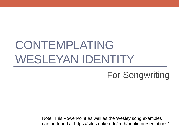# CONTEMPLATING WESLEYAN IDENTITY

#### For Songwriting

Note: This PowerPoint as well as the Wesley song examples can be found at https://sites.duke.edu/lruth/public-presentations/.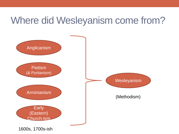## Where did Wesleyanism come from?

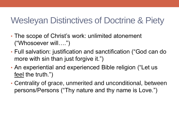#### Wesleyan Distinctives of Doctrine & Piety

- The scope of Christ's work: unlimited atonement ("Whosoever will….")
- Full salvation: justification and sanctification ("God can do more with sin than just forgive it.")
- An experiential and experienced Bible religion ("Let us feel the truth.")
- Centrality of grace, unmerited and unconditional, between persons/Persons ("Thy nature and thy name is Love.")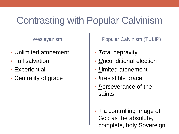## Contrasting with Popular Calvinism

Wesleyanism

- Unlimited atonement
- Full salvation
- Experiential
- Centrality of grace

Popular Calvinism (TULIP)

- *T*otal depravity
- *U*nconditional election
- *L*imited atonement
- *I*rresistible grace
- *P*erseverance of the saints
- + a controlling image of God as the absolute, complete, holy Sovereign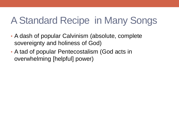## A Standard Recipe in Many Songs

- A dash of popular Calvinism (absolute, complete sovereignty and holiness of God)
- A tad of popular Pentecostalism (God acts in overwhelming [helpful] power)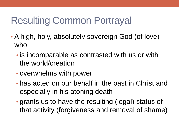## Resulting Common Portrayal

- A high, holy, absolutely sovereign God (of love) who
	- is incomparable as contrasted with us or with the world/creation
	- overwhelms with power
	- has acted on our behalf in the past in Christ and especially in his atoning death
	- grants us to have the resulting (legal) status of that activity (forgiveness and removal of shame)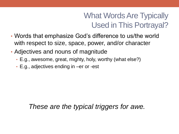#### What Words Are Typically Used in This Portrayal?

- Words that emphasize God's difference to us/the world with respect to size, space, power, and/or character
- Adjectives and nouns of magnitude
	- E.g., awesome, great, mighty, holy, worthy (what else?)
	- E.g., adjectives ending in –er or -est

*These are the typical triggers for awe.*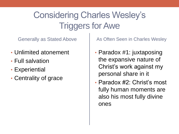## Considering Charles Wesley's Triggers for Awe

Generally as Stated Above

- Unlimited atonement
- Full salvation
- Experiential
- Centrality of grace

As Often Seen in Charles Wesley

- Paradox #1: juxtaposing the expansive nature of Christ's work against my personal share in it
- Paradox #2: Christ's most fully human moments are also his most fully divine ones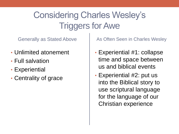## Considering Charles Wesley's Triggers for Awe

Generally as Stated Above

- Unlimited atonement
- Full salvation
- Experiential
- Centrality of grace

As Often Seen in Charles Wesley

- Experiential #1: collapse time and space between us and biblical events
- Experiential #2: put us into the Biblical story to use scriptural language for the language of our Christian experience